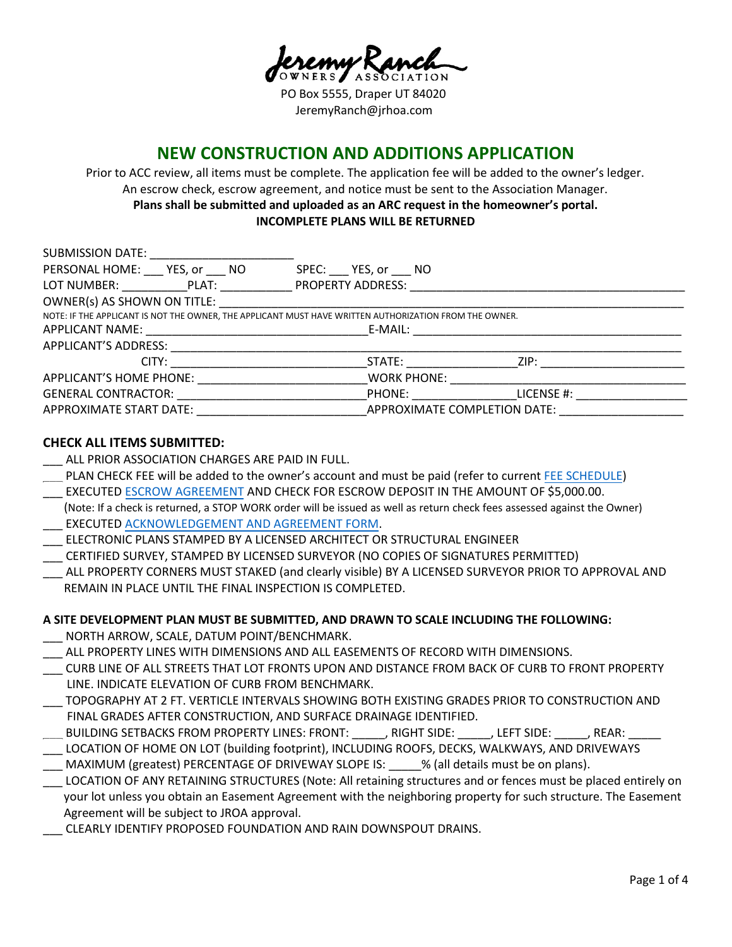**JERS** ASSOCIATION

PO Box 5555, Draper UT 84020 JeremyRanch@jrhoa.com

# **NEW CONSTRUCTION AND ADDITIONS APPLICATION**

Prior to ACC review, all items must be complete. The application fee will be added to the owner's ledger. An escrow check, escrow agreement, and notice must be sent to the Association Manager. **Plans shall be submitted and uploaded as an ARC request in the homeowner's portal. INCOMPLETE PLANS WILL BE RETURNED**

| SUBMISSION DATE: ______________________                                                                |                                                                                                                                                                                                                                |  |
|--------------------------------------------------------------------------------------------------------|--------------------------------------------------------------------------------------------------------------------------------------------------------------------------------------------------------------------------------|--|
| PERSONAL HOME: YES, or NO                                                                              | SPEC: YES, or NO                                                                                                                                                                                                               |  |
|                                                                                                        |                                                                                                                                                                                                                                |  |
|                                                                                                        |                                                                                                                                                                                                                                |  |
| NOTE: IF THE APPLICANT IS NOT THE OWNER, THE APPLICANT MUST HAVE WRITTEN AUTHORIZATION FROM THE OWNER. |                                                                                                                                                                                                                                |  |
|                                                                                                        |                                                                                                                                                                                                                                |  |
|                                                                                                        |                                                                                                                                                                                                                                |  |
|                                                                                                        |                                                                                                                                                                                                                                |  |
| APPLICANT'S HOME PHONE: APPLICANT'S                                                                    | <b>WORK PHONE:</b>                                                                                                                                                                                                             |  |
|                                                                                                        | GENERAL CONTRACTOR: The Material Service of the Material PHONE: The Material Service of the Material Service of the Material Service of the Material Service of the Material Service of the Material Service of the Material S |  |
|                                                                                                        | APPROXIMATE START DATE: APPROXIMATE COMPLETION DATE:                                                                                                                                                                           |  |

### **CHECK ALL ITEMS SUBMITTED:**

- ALL PRIOR ASSOCIATION CHARGES ARE PAID IN FULL.
- PLAN CHECK FEE will be added to the owner's account and must be paid (refer to current [FEE SCHEDULE\)](https://jrhoa.com/wp-content/uploads/2020/09/JROA-Architectural-Review-Application-Fees-effective-01.01.2020.pdf)
- EXECUTED [ESCROW AGREEMENT](https://jrhoa.com/wp-content/uploads/2020/09/JROA-Escrow-Agreement-FCS-blank-09.11.20.pdf) AND CHECK FOR ESCROW DEPOSIT IN THE AMOUNT OF \$5,000.00.
- (Note: If a check is returned, a STOP WORK order will be issued as well as return check fees assessed against the Owner) EXECUTED [ACKNOWLEDGEMENT AND AGREEMENT FORM.](https://jrhoa.com/wp-content/uploads/2020/09/JROA-Acknowledgement-and-Agreement-for-all-Const-09.11.20.pdf)
- \_\_\_ ELECTRONIC PLANS STAMPED BY A LICENSED ARCHITECT OR STRUCTURAL ENGINEER
- \_\_\_ CERTIFIED SURVEY, STAMPED BY LICENSED SURVEYOR (NO COPIES OF SIGNATURES PERMITTED)
- \_\_\_ ALL PROPERTY CORNERS MUST STAKED (and clearly visible) BY A LICENSED SURVEYOR PRIOR TO APPROVAL AND REMAIN IN PLACE UNTIL THE FINAL INSPECTION IS COMPLETED.

## **A SITE DEVELOPMENT PLAN MUST BE SUBMITTED, AND DRAWN TO SCALE INCLUDING THE FOLLOWING:**

- NORTH ARROW, SCALE, DATUM POINT/BENCHMARK.
- ALL PROPERTY LINES WITH DIMENSIONS AND ALL EASEMENTS OF RECORD WITH DIMENSIONS.
- \_\_\_ CURB LINE OF ALL STREETS THAT LOT FRONTS UPON AND DISTANCE FROM BACK OF CURB TO FRONT PROPERTY LINE. INDICATE ELEVATION OF CURB FROM BENCHMARK.
- \_\_\_ TOPOGRAPHY AT 2 FT. VERTICLE INTERVALS SHOWING BOTH EXISTING GRADES PRIOR TO CONSTRUCTION AND FINAL GRADES AFTER CONSTRUCTION, AND SURFACE DRAINAGE IDENTIFIED.
- BUILDING SETBACKS FROM PROPERTY LINES: FRONT: \_\_\_\_\_, RIGHT SIDE: \_\_\_\_\_, LEFT SIDE: \_\_\_\_\_, REAR: \_
- \_\_\_ LOCATION OF HOME ON LOT (building footprint), INCLUDING ROOFS, DECKS, WALKWAYS, AND DRIVEWAYS MAXIMUM (greatest) PERCENTAGE OF DRIVEWAY SLOPE IS:  $\frac{1}{2}$  % (all details must be on plans).
- \_\_\_ LOCATION OF ANY RETAINING STRUCTURES (Note: All retaining structures and or fences must be placed entirely on your lot unless you obtain an Easement Agreement with the neighboring property for such structure. The Easement Agreement will be subject to JROA approval.
- \_\_\_ CLEARLY IDENTIFY PROPOSED FOUNDATION AND RAIN DOWNSPOUT DRAINS.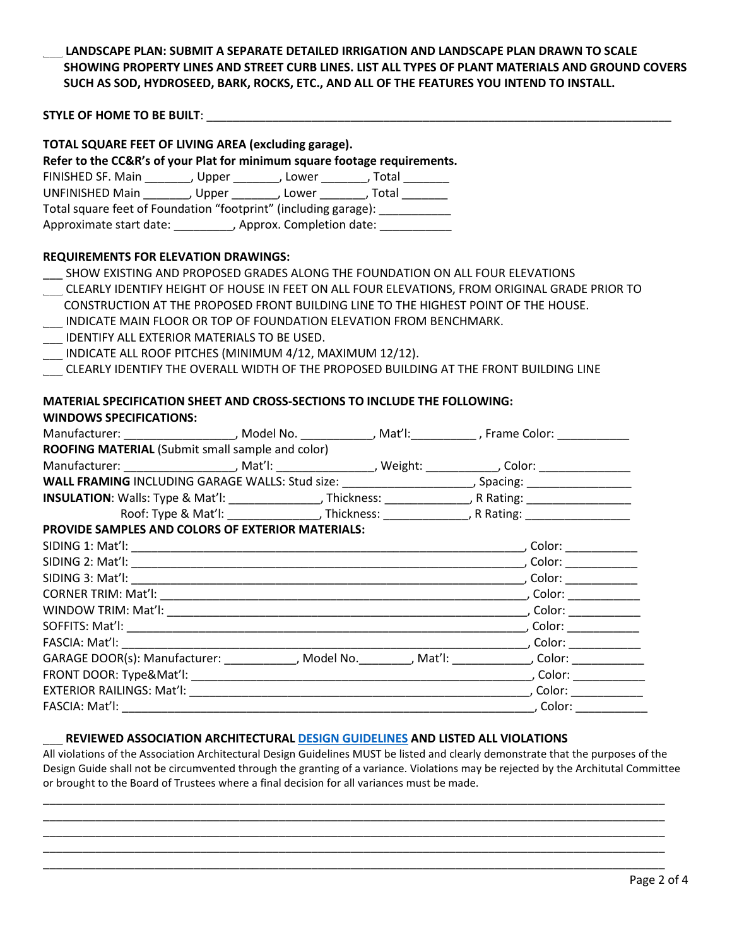### \_\_\_ **LANDSCAPE PLAN: SUBMIT A SEPARATE DETAILED IRRIGATION AND LANDSCAPE PLAN DRAWN TO SCALE SHOWING PROPERTY LINES AND STREET CURB LINES. LIST ALL TYPES OF PLANT MATERIALS AND GROUND COVERS SUCH AS SOD, HYDROSEED, BARK, ROCKS, ETC., AND ALL OF THE FEATURES YOU INTEND TO INSTALL.**

**STYLE OF HOME TO BE BUILT:**  $\blacksquare$ 

| TOTAL SQUARE FEET OF LIVING AREA (excluding garage).                                                           |                                                                                                     |  |  |
|----------------------------------------------------------------------------------------------------------------|-----------------------------------------------------------------------------------------------------|--|--|
| Refer to the CC&R's of your Plat for minimum square footage requirements.                                      |                                                                                                     |  |  |
| FINISHED SF. Main _________, Upper ________, Lower ________, Total ________                                    |                                                                                                     |  |  |
| UNFINISHED Main __________, Upper _________, Lower ________, Total ________                                    |                                                                                                     |  |  |
| Total square feet of Foundation "footprint" (including garage): ___________                                    |                                                                                                     |  |  |
| Approximate start date: ___________, Approx. Completion date: ____________                                     |                                                                                                     |  |  |
| <b>REQUIREMENTS FOR ELEVATION DRAWINGS:</b>                                                                    |                                                                                                     |  |  |
| SHOW EXISTING AND PROPOSED GRADES ALONG THE FOUNDATION ON ALL FOUR ELEVATIONS                                  |                                                                                                     |  |  |
| CLEARLY IDENTIFY HEIGHT OF HOUSE IN FEET ON ALL FOUR ELEVATIONS, FROM ORIGINAL GRADE PRIOR TO                  |                                                                                                     |  |  |
| CONSTRUCTION AT THE PROPOSED FRONT BUILDING LINE TO THE HIGHEST POINT OF THE HOUSE.                            |                                                                                                     |  |  |
| INDICATE MAIN FLOOR OR TOP OF FOUNDATION ELEVATION FROM BENCHMARK.                                             |                                                                                                     |  |  |
| IDENTIFY ALL EXTERIOR MATERIALS TO BE USED.                                                                    |                                                                                                     |  |  |
| INDICATE ALL ROOF PITCHES (MINIMUM 4/12, MAXIMUM 12/12).                                                       |                                                                                                     |  |  |
| CLEARLY IDENTIFY THE OVERALL WIDTH OF THE PROPOSED BUILDING AT THE FRONT BUILDING LINE                         |                                                                                                     |  |  |
|                                                                                                                |                                                                                                     |  |  |
| <b>MATERIAL SPECIFICATION SHEET AND CROSS-SECTIONS TO INCLUDE THE FOLLOWING:</b>                               |                                                                                                     |  |  |
| <b>WINDOWS SPECIFICATIONS:</b>                                                                                 |                                                                                                     |  |  |
| Manufacturer: _____________________, Model No. _____________, Mat'l: ___________, Frame Color: ______________  |                                                                                                     |  |  |
| ROOFING MATERIAL (Submit small sample and color)                                                               |                                                                                                     |  |  |
| Manufacturer: ______________________, Mat'l: _________________, Weight: _____________, Color: ________________ |                                                                                                     |  |  |
|                                                                                                                |                                                                                                     |  |  |
|                                                                                                                |                                                                                                     |  |  |
|                                                                                                                | Roof: Type & Mat'l: ___________________, Thickness: ______________, R Rating: _____________________ |  |  |
| PROVIDE SAMPLES AND COLORS OF EXTERIOR MATERIALS:                                                              |                                                                                                     |  |  |
|                                                                                                                |                                                                                                     |  |  |
|                                                                                                                |                                                                                                     |  |  |
|                                                                                                                |                                                                                                     |  |  |
|                                                                                                                |                                                                                                     |  |  |
|                                                                                                                |                                                                                                     |  |  |
|                                                                                                                |                                                                                                     |  |  |
|                                                                                                                |                                                                                                     |  |  |
| GARAGE DOOR(s): Manufacturer: ______________, Model No. _________, Mat'l: _____________, Color: _____________  |                                                                                                     |  |  |
|                                                                                                                |                                                                                                     |  |  |
|                                                                                                                |                                                                                                     |  |  |
| FASCIA: Mat'l:                                                                                                 |                                                                                                     |  |  |

#### \_\_\_ **REVIEWED ASSOCIATION ARCHITECTURAL [DESIGN GUIDELINES](https://jrhoa.com/pdfs/JROA-Architectural-Guidelines.pdf) AND LISTED ALL VIOLATIONS**

All violations of the Association Architectural Design Guidelines MUST be listed and clearly demonstrate that the purposes of the Design Guide shall not be circumvented through the granting of a variance. Violations may be rejected by the Architutal Committee or brought to the Board of Trustees where a final decision for all variances must be made.

\_\_\_\_\_\_\_\_\_\_\_\_\_\_\_\_\_\_\_\_\_\_\_\_\_\_\_\_\_\_\_\_\_\_\_\_\_\_\_\_\_\_\_\_\_\_\_\_\_\_\_\_\_\_\_\_\_\_\_\_\_\_\_\_\_\_\_\_\_\_\_\_\_\_\_\_\_\_\_\_\_\_\_\_\_\_\_\_\_\_\_\_\_\_\_ \_\_\_\_\_\_\_\_\_\_\_\_\_\_\_\_\_\_\_\_\_\_\_\_\_\_\_\_\_\_\_\_\_\_\_\_\_\_\_\_\_\_\_\_\_\_\_\_\_\_\_\_\_\_\_\_\_\_\_\_\_\_\_\_\_\_\_\_\_\_\_\_\_\_\_\_\_\_\_\_\_\_\_\_\_\_\_\_\_\_\_\_\_\_\_ \_\_\_\_\_\_\_\_\_\_\_\_\_\_\_\_\_\_\_\_\_\_\_\_\_\_\_\_\_\_\_\_\_\_\_\_\_\_\_\_\_\_\_\_\_\_\_\_\_\_\_\_\_\_\_\_\_\_\_\_\_\_\_\_\_\_\_\_\_\_\_\_\_\_\_\_\_\_\_\_\_\_\_\_\_\_\_\_\_\_\_\_\_\_\_ \_\_\_\_\_\_\_\_\_\_\_\_\_\_\_\_\_\_\_\_\_\_\_\_\_\_\_\_\_\_\_\_\_\_\_\_\_\_\_\_\_\_\_\_\_\_\_\_\_\_\_\_\_\_\_\_\_\_\_\_\_\_\_\_\_\_\_\_\_\_\_\_\_\_\_\_\_\_\_\_\_\_\_\_\_\_\_\_\_\_\_\_\_\_\_ \_\_\_\_\_\_\_\_\_\_\_\_\_\_\_\_\_\_\_\_\_\_\_\_\_\_\_\_\_\_\_\_\_\_\_\_\_\_\_\_\_\_\_\_\_\_\_\_\_\_\_\_\_\_\_\_\_\_\_\_\_\_\_\_\_\_\_\_\_\_\_\_\_\_\_\_\_\_\_\_\_\_\_\_\_\_\_\_\_\_\_\_\_\_\_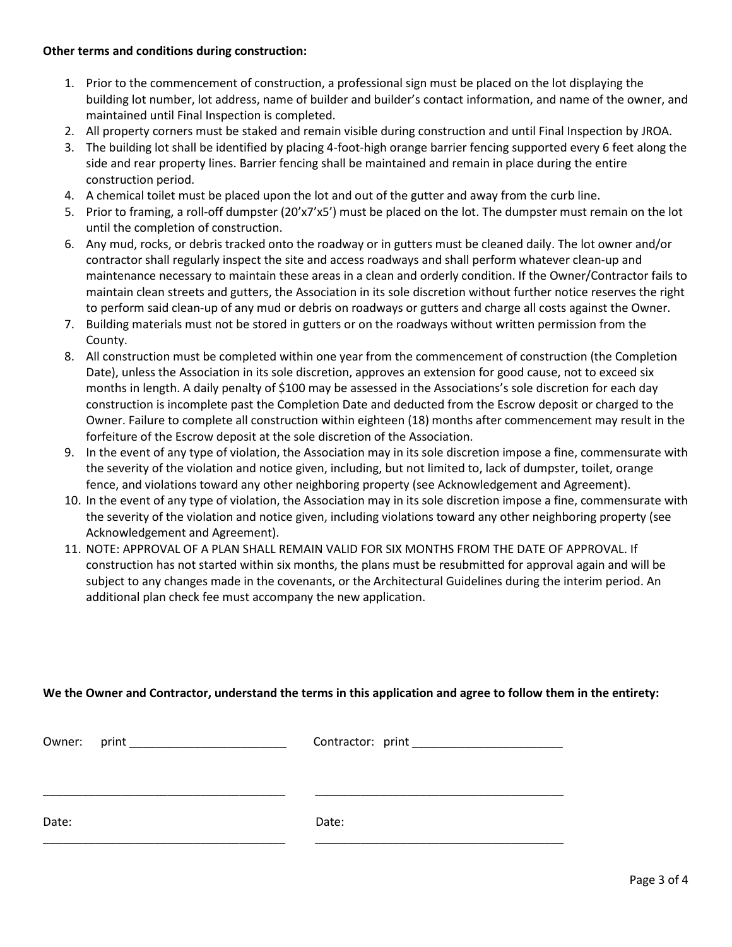#### **Other terms and conditions during construction:**

- 1. Prior to the commencement of construction, a professional sign must be placed on the lot displaying the building lot number, lot address, name of builder and builder's contact information, and name of the owner, and maintained until Final Inspection is completed.
- 2. All property corners must be staked and remain visible during construction and until Final Inspection by JROA.
- 3. The building lot shall be identified by placing 4-foot-high orange barrier fencing supported every 6 feet along the side and rear property lines. Barrier fencing shall be maintained and remain in place during the entire construction period.
- 4. A chemical toilet must be placed upon the lot and out of the gutter and away from the curb line.
- 5. Prior to framing, a roll-off dumpster (20'x7'x5') must be placed on the lot. The dumpster must remain on the lot until the completion of construction.
- 6. Any mud, rocks, or debris tracked onto the roadway or in gutters must be cleaned daily. The lot owner and/or contractor shall regularly inspect the site and access roadways and shall perform whatever clean-up and maintenance necessary to maintain these areas in a clean and orderly condition. If the Owner/Contractor fails to maintain clean streets and gutters, the Association in its sole discretion without further notice reserves the right to perform said clean-up of any mud or debris on roadways or gutters and charge all costs against the Owner.
- 7. Building materials must not be stored in gutters or on the roadways without written permission from the County.
- 8. All construction must be completed within one year from the commencement of construction (the Completion Date), unless the Association in its sole discretion, approves an extension for good cause, not to exceed six months in length. A daily penalty of \$100 may be assessed in the Associations's sole discretion for each day construction is incomplete past the Completion Date and deducted from the Escrow deposit or charged to the Owner. Failure to complete all construction within eighteen (18) months after commencement may result in the forfeiture of the Escrow deposit at the sole discretion of the Association.
- 9. In the event of any type of violation, the Association may in its sole discretion impose a fine, commensurate with the severity of the violation and notice given, including, but not limited to, lack of dumpster, toilet, orange fence, and violations toward any other neighboring property (see Acknowledgement and Agreement).
- 10. In the event of any type of violation, the Association may in its sole discretion impose a fine, commensurate with the severity of the violation and notice given, including violations toward any other neighboring property (see Acknowledgement and Agreement).
- 11. NOTE: APPROVAL OF A PLAN SHALL REMAIN VALID FOR SIX MONTHS FROM THE DATE OF APPROVAL. If construction has not started within six months, the plans must be resubmitted for approval again and will be subject to any changes made in the covenants, or the Architectural Guidelines during the interim period. An additional plan check fee must accompany the new application.

#### **We the Owner and Contractor, understand the terms in this application and agree to follow them in the entirety:**

|       | Contractor: print ______________ |
|-------|----------------------------------|
|       |                                  |
| Date: | Date:                            |